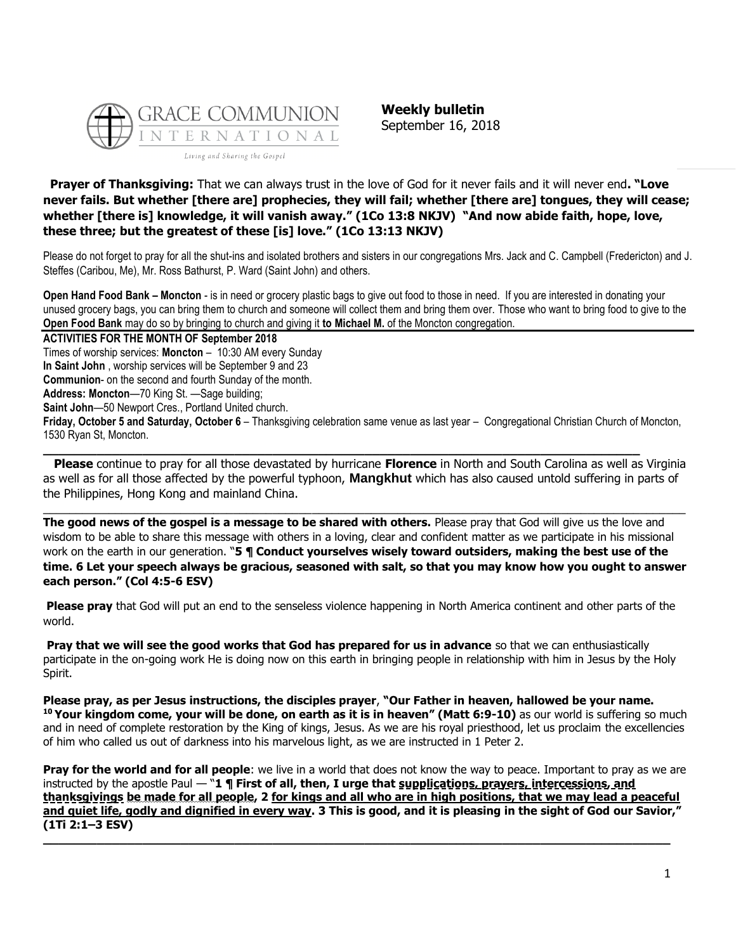

**Weekly bulletin** September 16, 2018

**Prayer of Thanksgiving:** That we can always trust in the love of God for it never fails and it will never end**. "Love never fails. But whether [there are] prophecies, they will fail; whether [there are] tongues, they will cease; whether [there is] knowledge, it will vanish away." (1Co 13:8 NKJV) "And now abide faith, hope, love, these three; but the greatest of these [is] love." (1Co 13:13 NKJV)**

Please do not forget to pray for all the shut-ins and isolated brothers and sisters in our congregations Mrs. Jack and C. Campbell (Fredericton) and J. Steffes (Caribou, Me), Mr. Ross Bathurst, P. Ward (Saint John) and others.

**Open Hand Food Bank – Moncton** - is in need or grocery plastic bags to give out food to those in need. If you are interested in donating your unused grocery bags, you can bring them to church and someone will collect them and bring them over. Those who want to bring food to give to the **Open Food Bank** may do so by bringing to church and giving it **to Michael M.** of the Moncton congregation.

**ACTIVITIES FOR THE MONTH OF September 2018** Times of worship services: **Moncton** – 10:30 AM every Sunday **In Saint John** , worship services will be September 9 and 23 **Communion**- on the second and fourth Sunday of the month. **Address: Moncton**—70 King St. —Sage building;

**Saint John**—50 Newport Cres., Portland United church.

**Friday, October 5 and Saturday, October 6** – Thanksgiving celebration same venue as last year – Congregational Christian Church of Moncton, 1530 Ryan St, Moncton.

**\_\_\_\_\_\_\_\_\_\_\_\_\_\_\_\_\_\_\_\_\_\_\_\_\_\_\_\_\_\_\_\_\_\_\_\_\_\_\_\_\_\_\_\_\_\_\_\_\_\_\_\_\_\_\_\_\_\_\_\_\_\_\_\_\_\_\_\_\_\_\_\_\_\_\_\_\_\_**

**Please** continue to pray for all those devastated by hurricane **Florence** in North and South Carolina as well as Virginia as well as for all those affected by the powerful typhoon, **Mangkhut** which has also caused untold suffering in parts of the Philippines, Hong Kong and mainland China.

 $\_$  ,  $\_$  ,  $\_$  ,  $\_$  ,  $\_$  ,  $\_$  ,  $\_$  ,  $\_$  ,  $\_$  ,  $\_$  ,  $\_$  ,  $\_$  ,  $\_$  ,  $\_$  ,  $\_$  ,  $\_$  ,  $\_$  ,  $\_$  ,  $\_$  ,  $\_$  ,  $\_$  ,  $\_$  ,  $\_$  ,  $\_$  ,  $\_$  ,  $\_$  ,  $\_$  ,  $\_$  ,  $\_$  ,  $\_$  ,  $\_$  ,  $\_$  ,  $\_$  ,  $\_$  ,  $\_$  ,  $\_$  ,  $\_$  ,

**The good news of the gospel is a message to be shared with others.** Please pray that God will give us the love and wisdom to be able to share this message with others in a loving, clear and confident matter as we participate in his missional work on the earth in our generation. "**5 ¶ Conduct yourselves wisely toward outsiders, making the best use of the time. 6 Let your speech always be gracious, seasoned with salt, so that you may know how you ought to answer each person." (Col 4:5-6 ESV)**

**Please pray** that God will put an end to the senseless violence happening in North America continent and other parts of the world.

**Pray that we will see the good works that God has prepared for us in advance** so that we can enthusiastically participate in the on-going work He is doing now on this earth in bringing people in relationship with him in Jesus by the Holy Spirit.

**Please pray, as per Jesus instructions, the disciples prayer**, **"Our Father in heaven, hallowed be your name. <sup>10</sup> Your kingdom come, your will be done, on earth as it is in heaven" (Matt 6:9-10)** as our world is suffering so much and in need of complete restoration by the King of kings, Jesus. As we are his royal priesthood, let us proclaim the excellencies of him who called us out of darkness into his marvelous light, as we are instructed in 1 Peter 2.

**Pray for the world and for all people**: we live in a world that does not know the way to peace. Important to pray as we are instructed by the apostle Paul — "**1 ¶ First of all, then, I urge that supplications, prayers, intercessions, and thanksgivings be made for all people, 2 for kings and all who are in high positions, that we may lead a peaceful and quiet life, godly and dignified in every way. 3 This is good, and it is pleasing in the sight of God our Savior," (1Ti 2:1–3 ESV)**

**\_\_\_\_\_\_\_\_\_\_\_\_\_\_\_\_\_\_\_\_\_\_\_\_\_\_\_\_\_\_\_\_\_\_\_\_\_\_\_\_\_\_\_\_\_\_\_\_\_\_\_\_\_\_\_\_\_\_\_\_\_\_\_\_\_\_\_\_\_\_\_\_\_\_\_\_\_\_\_\_\_\_**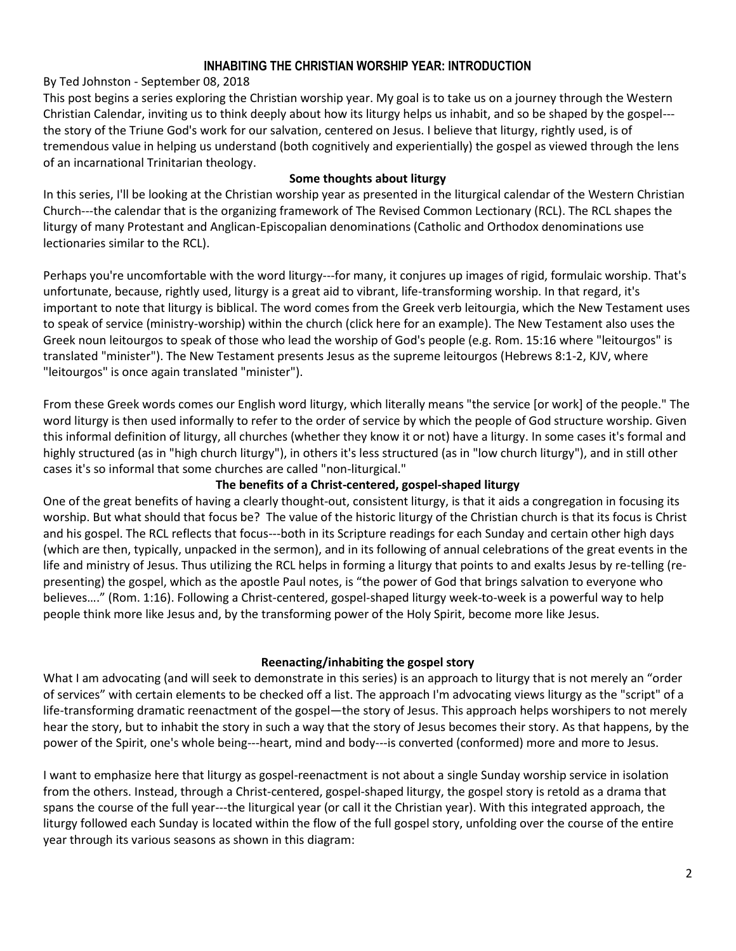# **INHABITING THE CHRISTIAN WORSHIP YEAR: INTRODUCTION**

By [Ted Johnston](https://www.blogger.com/profile/08677739021765621811) - [September 08, 2018](http://thesurprisinggodblog.gci.org/2018/09/inhabiting-christian-worship-year.html)

This post begins a series exploring the Christian worship year. My goal is to take us on a journey through the Western Christian Calendar, inviting us to think deeply about how its liturgy helps us inhabit, and so be shaped by the gospel-- the story of the Triune God's work for our salvation, centered on Jesus. I believe that liturgy, rightly used, is of tremendous value in helping us understand (both cognitively and experientially) the gospel as viewed through the lens of an incarnational Trinitarian theology.

## **Some thoughts about liturgy**

In this series, I'll be looking at the Christian worship year as presented in the liturgical calendar of the Western Christian Church---the calendar that is the organizing framework of [The Revised Common Lectionary](https://lectionary.library.vanderbilt.edu/) (RCL). The RCL shapes the liturgy of many Protestant and Anglican-Episcopalian denominations (Catholic and Orthodox denominations use lectionaries similar to the RCL).

Perhaps you're uncomfortable with the word liturgy---for many, it conjures up images of rigid, formulaic worship. That's unfortunate, because, rightly used, liturgy is a great aid to vibrant, life-transforming worship. In that regard, it's important to note that liturgy is biblical. The word comes from the Greek verb [leitourgia,](https://www.biblestudytools.com/lexicons/greek/nas/leitourgia.html) which the New Testament uses to speak of service (ministry-worship) within the church [\(click here for an example\)](https://www.biblestudytools.com/commentaries/robertsons-word-pictures/2-corinthians/2-corinthians-9-12.html). The New Testament also uses the Greek noun [leitourgos](https://www.biblestudytools.com/lexicons/greek/nas/leitourgos.html) to speak of those who lead the worship of God's people (e.g. [Rom. 15:16](https://biblia.com/bible/niv/Rom.%2015.16) where "leitourgos" is translated "minister"). The New Testament presents Jesus as the supreme leitourgos [\(Hebrews 8:1-2, KJV,](https://biblia.com/bible/kjv1900/Heb%208.1-2) where "leitourgos" is once again translated "minister").

From these Greek words comes our English word liturgy, which literally means "the service [or work] of the people." The word liturgy is then [used informally](http://www.yourdictionary.com/liturgy) to refer to the order of service by which the people of God structure worship. Given this informal definition of liturgy, all churches (whether they know it or not) have a liturgy. In some cases it's formal and highly structured (as in "high church liturgy"), in others it's less structured (as in "low church liturgy"), and in still other cases it's so informal that some churches are called "non-liturgical."

# **The benefits of a Christ-centered, gospel-shaped liturgy**

One of the great benefits of having a clearly thought-out, consistent liturgy, is that it aids a congregation in focusing its worship. But what should that focus be? The value of the historic liturgy of the Christian church is that its focus is Christ and his gospel. The RCL reflects that focus---both in its Scripture readings for each Sunday and certain other high days (which are then, typically, unpacked in the sermon), and in its following of annual celebrations of the great events in the life and ministry of Jesus. Thus utilizing the RCL helps in forming a liturgy that points to and exalts Jesus by re-telling (representing) the gospel, which as the apostle Paul notes, is "the power of God that brings salvation to everyone who believes…." ([Rom. 1:16\)](https://biblia.com/bible/niv/Rom.%201.16). Following a Christ-centered, gospel-shaped liturgy week-to-week is a powerful way to help people think more like Jesus and, by the transforming power of the Holy Spirit, become more like Jesus.

### **Reenacting/inhabiting the gospel story**

What I am advocating (and will seek to demonstrate in this series) is an approach to liturgy that is not merely an "order of services" with certain elements to be checked off a list. The approach I'm advocating views liturgy as the "script" of a life-transforming dramatic reenactment of the gospel—the story of Jesus. This approach helps worshipers to not merely hear the story, but to inhabit the story in such a way that the story of Jesus becomes their story. As that happens, by the power of the Spirit, one's whole being---heart, mind and body---is converted (conformed) more and more to Jesus.

I want to emphasize here that liturgy as gospel-reenactment is not about a single Sunday worship service in isolation from the others. Instead, through a Christ-centered, gospel-shaped liturgy, the gospel story is retold as a drama that spans the course of the full year---the liturgical year (or call it the Christian year). With this integrated approach, the liturgy followed each Sunday is located within the flow of the full gospel story, unfolding over the course of the entire year through its various seasons as shown in this diagram: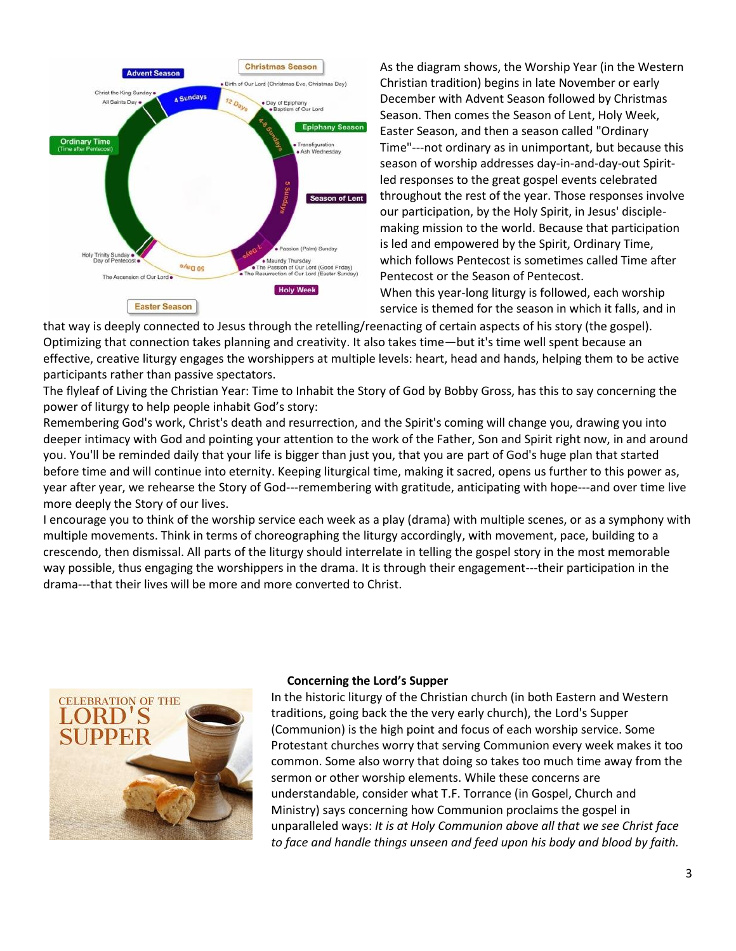

As the diagram shows, the Worship Year (in the Western Christian tradition) begins in late November or early December with Advent Season followed by Christmas Season. Then comes the Season of Lent, Holy Week, Easter Season, and then a season called "Ordinary Time"---not ordinary as in unimportant, but because this season of worship addresses day-in-and-day-out Spiritled responses to the great gospel events celebrated throughout the rest of the year. Those responses involve our participation, by the Holy Spirit, in Jesus' disciplemaking mission to the world. Because that participation is led and empowered by the Spirit, Ordinary Time, which follows Pentecost is sometimes called Time after Pentecost or the Season of Pentecost. When this year-long liturgy is followed, each worship service is themed for the season in which it falls, and in

that way is deeply connected to Jesus through the retelling/reenacting of certain aspects of his story (the gospel). Optimizing that connection takes planning and creativity. It also takes time—but it's time well spent because an effective, creative liturgy engages the worshippers at multiple levels: heart, head and hands, helping them to be active participants rather than passive spectators.

The flyleaf of [Living the Christian Year: Time to Inhabit the Story of God](https://books.google.com/books?id=v5GhzIQmKYEC&printsec=frontcover#v=onepage&q&f=false) by Bobby Gross, has this to say concerning the power of liturgy to help people inhabit God's story:

Remembering God's work, Christ's death and resurrection, and the Spirit's coming will change you, drawing you into deeper intimacy with God and pointing your attention to the work of the Father, Son and Spirit right now, in and around you. You'll be reminded daily that your life is bigger than just you, that you are part of God's huge plan that started before time and will continue into eternity. Keeping liturgical time, making it sacred, opens us further to this power as, year after year, we rehearse the Story of God---remembering with gratitude, anticipating with hope---and over time live more deeply the Story of our lives.

I encourage you to think of the worship service each week as a play (drama) with multiple scenes, or as a symphony with multiple movements. Think in terms of choreographing the liturgy accordingly, with movement, pace, building to a crescendo, then dismissal. All parts of the liturgy should interrelate in telling the gospel story in the most memorable way possible, thus engaging the worshippers in the drama. It is through their engagement---their participation in the drama---that their lives will be more and more converted to Christ.



#### **Concerning the Lord's Supper**

In the historic liturgy of the Christian church (in both Eastern and Western traditions, going back the the very early church), the Lord's Supper (Communion) is the high point and focus of each worship service. Some Protestant churches worry that serving Communion every week makes it too common. Some also worry that doing so takes too much time away from the sermon or other worship elements. While these concerns are understandable, consider what T.F. Torrance (in [Gospel, Church and](https://books.google.com/books?id=5xx9tgAACAAJ&printsec=frontcover#v=onepage&q&f=false)  [Ministry\)](https://books.google.com/books?id=5xx9tgAACAAJ&printsec=frontcover#v=onepage&q&f=false) says concerning how Communion proclaims the gospel in unparalleled ways: *It is at Holy Communion above all that we see Christ face to face and handle things unseen and feed upon his body and blood by faith.*